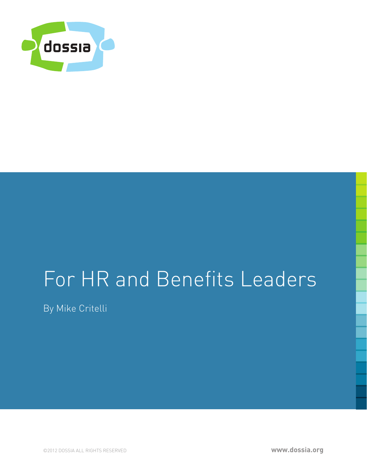

# For HR and Benefits Leaders

By Mike Critelli

©2012 DOSSIA ALL RIGHTS RESERVED **www.dossia.org**

**www.dossia.org**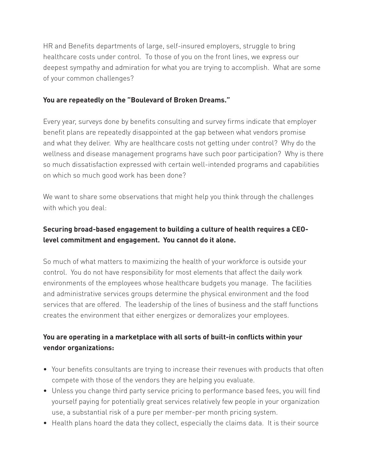HR and Benefits departments of large, self-insured employers, struggle to bring healthcare costs under control. To those of you on the front lines, we express our deepest sympathy and admiration for what you are trying to accomplish. What are some of your common challenges?

#### **You are repeatedly on the "Boulevard of Broken Dreams."**

Every year, surveys done by benefits consulting and survey firms indicate that employer benefit plans are repeatedly disappointed at the gap between what vendors promise and what they deliver. Why are healthcare costs not getting under control? Why do the wellness and disease management programs have such poor participation? Why is there so much dissatisfaction expressed with certain well-intended programs and capabilities on which so much good work has been done?

We want to share some observations that might help you think through the challenges with which you deal:

# **Securing broad-based engagement to building a culture of health requires a CEOlevel commitment and engagement. You cannot do it alone.**

So much of what matters to maximizing the health of your workforce is outside your control. You do not have responsibility for most elements that affect the daily work environments of the employees whose healthcare budgets you manage. The facilities and administrative services groups determine the physical environment and the food services that are offered. The leadership of the lines of business and the staff functions creates the environment that either energizes or demoralizes your employees.

## **You are operating in a marketplace with all sorts of built-in conflicts within your vendor organizations:**

- Your benefits consultants are trying to increase their revenues with products that often compete with those of the vendors they are helping you evaluate.
- Unless you change third party service pricing to performance based fees, you will find yourself paying for potentially great services relatively few people in your organization use, a substantial risk of a pure per member-per month pricing system.
- Health plans hoard the data they collect, especially the claims data. It is their source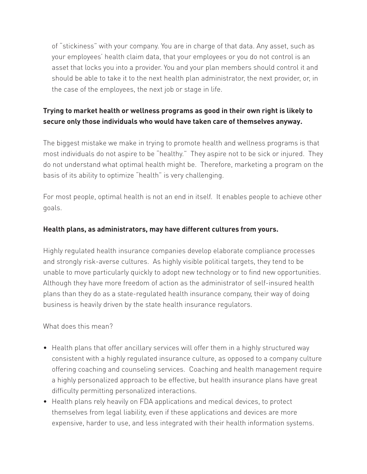of "stickiness" with your company. You are in charge of that data. Any asset, such as your employees' health claim data, that your employees or you do not control is an asset that locks you into a provider. You and your plan members should control it and should be able to take it to the next health plan administrator, the next provider, or, in the case of the employees, the next job or stage in life.

## **Trying to market health or wellness programs as good in their own right is likely to secure only those individuals who would have taken care of themselves anyway.**

The biggest mistake we make in trying to promote health and wellness programs is that most individuals do not aspire to be "healthy." They aspire not to be sick or injured. They do not understand what optimal health might be. Therefore, marketing a program on the basis of its ability to optimize "health" is very challenging.

For most people, optimal health is not an end in itself. It enables people to achieve other goals.

#### **Health plans, as administrators, may have different cultures from yours.**

Highly regulated health insurance companies develop elaborate compliance processes and strongly risk-averse cultures. As highly visible political targets, they tend to be unable to move particularly quickly to adopt new technology or to find new opportunities. Although they have more freedom of action as the administrator of self-insured health plans than they do as a state-regulated health insurance company, their way of doing business is heavily driven by the state health insurance regulators.

What does this mean?

- Health plans that offer ancillary services will offer them in a highly structured way consistent with a highly regulated insurance culture, as opposed to a company culture offering coaching and counseling services. Coaching and health management require a highly personalized approach to be effective, but health insurance plans have great difficulty permitting personalized interactions.
- Health plans rely heavily on FDA applications and medical devices, to protect themselves from legal liability, even if these applications and devices are more expensive, harder to use, and less integrated with their health information systems.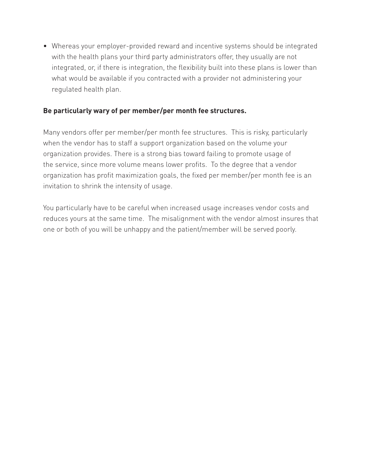• Whereas your employer-provided reward and incentive systems should be integrated with the health plans your third party administrators offer, they usually are not integrated, or, if there is integration, the flexibility built into these plans is lower than what would be available if you contracted with a provider not administering your regulated health plan.

#### **Be particularly wary of per member/per month fee structures.**

Many vendors offer per member/per month fee structures. This is risky, particularly when the vendor has to staff a support organization based on the volume your organization provides. There is a strong bias toward failing to promote usage of the service, since more volume means lower profits. To the degree that a vendor organization has profit maximization goals, the fixed per member/per month fee is an invitation to shrink the intensity of usage.

You particularly have to be careful when increased usage increases vendor costs and reduces yours at the same time. The misalignment with the vendor almost insures that one or both of you will be unhappy and the patient/member will be served poorly.